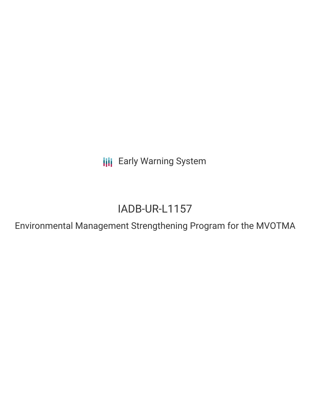**III** Early Warning System

# IADB-UR-L1157

Environmental Management Strengthening Program for the MVOTMA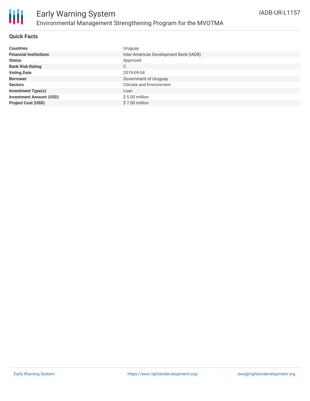

#### **Quick Facts**

| <b>Countries</b>               | Uruguay                                |
|--------------------------------|----------------------------------------|
| <b>Financial Institutions</b>  | Inter-American Development Bank (IADB) |
| <b>Status</b>                  | Approved                               |
| <b>Bank Risk Rating</b>        | С                                      |
| <b>Voting Date</b>             | 2019-09-04                             |
| <b>Borrower</b>                | Government of Uruguay                  |
| <b>Sectors</b>                 | <b>Climate and Environment</b>         |
| <b>Investment Type(s)</b>      | Loan                                   |
| <b>Investment Amount (USD)</b> | $$5.00$ million                        |
| <b>Project Cost (USD)</b>      | \$7.00 million                         |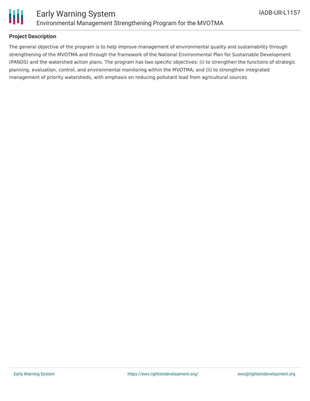

#### **Project Description**

The general objective of the program is to help improve management of environmental quality and sustainability through strengthening of the MVOTMA and through the framework of the National Environmental Plan for Sustainable Development (PANDS) and the watershed action plans. The program has two specific objectives: (i) to strengthen the functions of strategic planning, evaluation, control, and environmental monitoring within the MVOTMA; and (ii) to strengthen integrated management of priority watersheds, with emphasis on reducing pollutant load from agricultural sources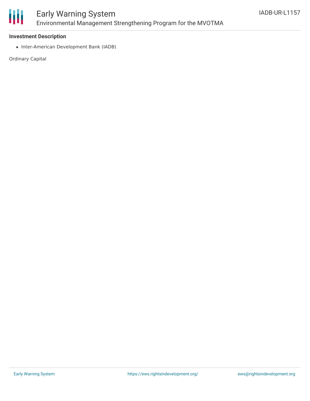

### Early Warning System Environmental Management Strengthening Program for the MVOTMA

#### **Investment Description**

• Inter-American Development Bank (IADB)

Ordinary Capital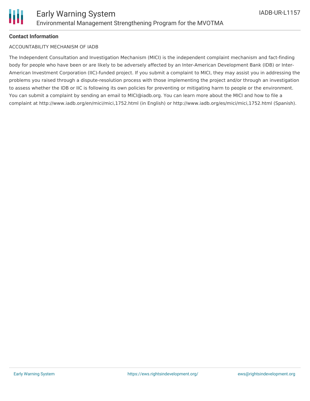#### **Contact Information**

#### ACCOUNTABILITY MECHANISM OF IADB

The Independent Consultation and Investigation Mechanism (MICI) is the independent complaint mechanism and fact-finding body for people who have been or are likely to be adversely affected by an Inter-American Development Bank (IDB) or Inter-American Investment Corporation (IIC)-funded project. If you submit a complaint to MICI, they may assist you in addressing the problems you raised through a dispute-resolution process with those implementing the project and/or through an investigation to assess whether the IDB or IIC is following its own policies for preventing or mitigating harm to people or the environment. You can submit a complaint by sending an email to MICI@iadb.org. You can learn more about the MICI and how to file a complaint at http://www.iadb.org/en/mici/mici,1752.html (in English) or http://www.iadb.org/es/mici/mici,1752.html (Spanish).